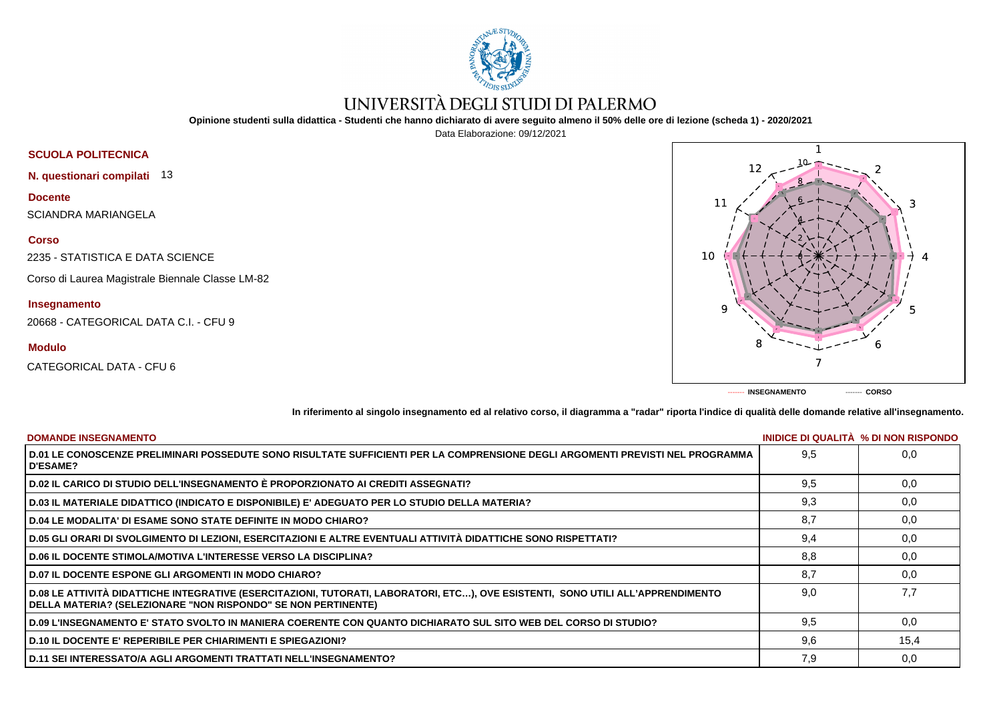

## UNIVERSITÀ DEGLI STUDI DI PALERMO

**Opinione studenti sulla didattica - Studenti che hanno dichiarato di avere seguito almeno il 50% delle ore di lezione (scheda 1) - 2020/2021**

Data Elaborazione: 09/12/2021



**In riferimento al singolo insegnamento ed al relativo corso, il diagramma a "radar" riporta l'indice di qualità delle domande relative all'insegnamento.**

**------- INSEGNAMENTO ------- CORSO**

| <b>DOMANDE INSEGNAMENTO</b>                                                                                                                                                                               |     | <b>INIDICE DI QUALITA % DI NON RISPONDO</b> |
|-----------------------------------------------------------------------------------------------------------------------------------------------------------------------------------------------------------|-----|---------------------------------------------|
| D.01 LE CONOSCENZE PRELIMINARI POSSEDUTE SONO RISULTATE SUFFICIENTI PER LA COMPRENSIONE DEGLI ARGOMENTI PREVISTI NEL PROGRAMMA<br><b>D'ESAME?</b>                                                         | 9.5 | 0.0                                         |
| D.02 IL CARICO DI STUDIO DELL'INSEGNAMENTO È PROPORZIONATO AI CREDITI ASSEGNATI?                                                                                                                          | 9,5 | 0,0                                         |
| D.03 IL MATERIALE DIDATTICO (INDICATO E DISPONIBILE) E' ADEGUATO PER LO STUDIO DELLA MATERIA?                                                                                                             | 9,3 | 0,0                                         |
| D.04 LE MODALITA' DI ESAME SONO STATE DEFINITE IN MODO CHIARO?                                                                                                                                            | 8,7 | 0,0                                         |
| D.05 GLI ORARI DI SVOLGIMENTO DI LEZIONI, ESERCITAZIONI E ALTRE EVENTUALI ATTIVITÀ DIDATTICHE SONO RISPETTATI?                                                                                            | 9,4 | 0,0                                         |
| <b>D.06 IL DOCENTE STIMOLA/MOTIVA L'INTERESSE VERSO LA DISCIPLINA?</b>                                                                                                                                    | 8.8 | 0.0                                         |
| <b>D.07 IL DOCENTE ESPONE GLI ARGOMENTI IN MODO CHIARO?</b>                                                                                                                                               | 8.7 | 0.0                                         |
| D.08 LE ATTIVITÀ DIDATTICHE INTEGRATIVE (ESERCITAZIONI, TUTORATI, LABORATORI, ETC…), OVE ESISTENTI,  SONO UTILI ALL'APPRENDIMENTO<br><b>DELLA MATERIA? (SELEZIONARE "NON RISPONDO" SE NON PERTINENTE)</b> | 9.0 | 7.7                                         |
| D.09 L'INSEGNAMENTO E' STATO SVOLTO IN MANIERA COERENTE CON QUANTO DICHIARATO SUL SITO WEB DEL CORSO DI STUDIO?                                                                                           | 9,5 | 0,0                                         |
| <b>D.10 IL DOCENTE E' REPERIBILE PER CHIARIMENTI E SPIEGAZIONI?</b>                                                                                                                                       | 9.6 | 15,4                                        |
| D.11 SEI INTERESSATO/A AGLI ARGOMENTI TRATTATI NELL'INSEGNAMENTO?                                                                                                                                         | 7,9 | 0,0                                         |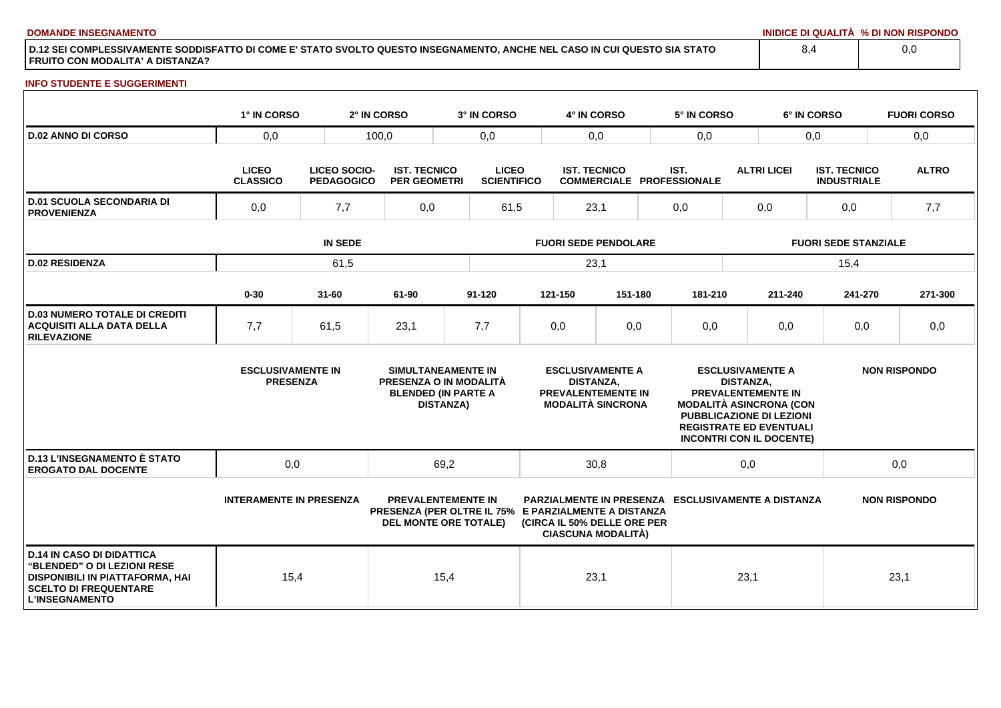**DOMANDE INSEGNAMENTO INIDICE DI QUALITÀ % DI NON RISPONDO**

**D.12 SEI COMPLESSIVAMENTE SODDISFATTO DI COME E' STATO SVOLTO QUESTO INSEGNAMENTO, ANCHE NEL CASO IN CUI QUESTO SIA STATO FRUITO CON MODALITA' A DISTANZA?**

## **INFO STUDENTE E SUGGERIMENTI**

|                                                                                                                                                             | 1° IN CORSO                                 |                                   | 2° IN CORSO                                | 3° IN CORSO                                                                                                       |                             | 4° IN CORSO                                             |                                                                           |  | 5° IN CORSO                                                                                                                                                  |                                             | 6° IN CORSO |                                           | <b>FUORI CORSO</b>  |
|-------------------------------------------------------------------------------------------------------------------------------------------------------------|---------------------------------------------|-----------------------------------|--------------------------------------------|-------------------------------------------------------------------------------------------------------------------|-----------------------------|---------------------------------------------------------|---------------------------------------------------------------------------|--|--------------------------------------------------------------------------------------------------------------------------------------------------------------|---------------------------------------------|-------------|-------------------------------------------|---------------------|
| <b>D.02 ANNO DI CORSO</b>                                                                                                                                   | 0,0                                         |                                   | 100,0                                      |                                                                                                                   | 0,0<br>0,0                  |                                                         | 0,0                                                                       |  | 0,0                                                                                                                                                          |                                             |             | 0,0                                       |                     |
|                                                                                                                                                             | <b>LICEO</b><br><b>CLASSICO</b>             | LICEO SOCIO-<br><b>PEDAGOGICO</b> | <b>IST. TECNICO</b><br><b>PER GEOMETRI</b> | <b>LICEO</b><br><b>SCIENTIFICO</b>                                                                                |                             | <b>IST. TECNICO</b><br><b>COMMERCIALE PROFESSIONALE</b> |                                                                           |  | IST.                                                                                                                                                         | <b>ALTRI LICEI</b>                          |             | <b>IST. TECNICO</b><br><b>INDUSTRIALE</b> | <b>ALTRO</b>        |
| <b>D.01 SCUOLA SECONDARIA DI</b><br><b>PROVENIENZA</b>                                                                                                      | 0,0                                         | 7,7                               |                                            | 61,5                                                                                                              | 23,1                        |                                                         | 0,0                                                                       |  | 0,0                                                                                                                                                          |                                             | 0,0         | 7,7                                       |                     |
|                                                                                                                                                             | <b>IN SEDE</b>                              |                                   |                                            |                                                                                                                   | <b>FUORI SEDE PENDOLARE</b> |                                                         |                                                                           |  |                                                                                                                                                              | <b>FUORI SEDE STANZIALE</b>                 |             |                                           |                     |
| <b>D.02 RESIDENZA</b>                                                                                                                                       |                                             | 61,5                              |                                            |                                                                                                                   |                             | 23,1                                                    |                                                                           |  |                                                                                                                                                              |                                             |             | 15,4                                      |                     |
|                                                                                                                                                             | $0 - 30$                                    | $31 - 60$                         | 61-90                                      | $91 - 120$                                                                                                        |                             | 121-150                                                 | 151-180                                                                   |  | 181-210                                                                                                                                                      |                                             | 211-240     | 241-270                                   | 271-300             |
| <b>D.03 NUMERO TOTALE DI CREDITI</b><br><b>ACQUISITI ALLA DATA DELLA</b><br><b>RILEVAZIONE</b>                                                              | 7,7                                         | 61,5                              | 23,1                                       | 7,7                                                                                                               |                             | 0,0                                                     | 0,0                                                                       |  | 0,0                                                                                                                                                          |                                             | 0,0         | 0,0                                       | 0,0                 |
|                                                                                                                                                             | <b>ESCLUSIVAMENTE IN</b><br><b>PRESENZA</b> |                                   |                                            | SIMULTANEAMENTE IN<br>PRESENZA O IN MODALITÀ<br><b>BLENDED (IN PARTE A</b><br><b>DISTANZA)</b>                    |                             | <b>DISTANZA,</b>                                        | <b>ESCLUSIVAMENTE A</b><br>PREVALENTEMENTE IN<br><b>MODALITÀ SINCRONA</b> |  | PREVALENTEMENTE IN<br><b>MODALITÀ ASINCRONA (CON</b><br><b>PUBBLICAZIONE DI LEZIONI</b><br><b>REGISTRATE ED EVENTUALI</b><br><b>INCONTRI CON IL DOCENTE)</b> | <b>ESCLUSIVAMENTE A</b><br><b>DISTANZA,</b> |             |                                           | <b>NON RISPONDO</b> |
| <b>D.13 L'INSEGNAMENTO È STATO</b><br><b>EROGATO DAL DOCENTE</b>                                                                                            | 0,0                                         |                                   |                                            | 69,2                                                                                                              |                             | 30,8                                                    |                                                                           |  |                                                                                                                                                              | 0,0                                         |             |                                           | 0,0                 |
|                                                                                                                                                             | <b>INTERAMENTE IN PRESENZA</b>              |                                   |                                            | <b>PREVALENTEMENTE IN</b><br>PRESENZA (PER OLTRE IL 75% E PARZIALMENTE A DISTANZA<br><b>DEL MONTE ORE TOTALE)</b> |                             |                                                         | (CIRCA IL 50% DELLE ORE PER<br><b>CIASCUNA MODALITÀ)</b>                  |  | <b>PARZIALMENTE IN PRESENZA ESCLUSIVAMENTE A DISTANZA</b>                                                                                                    |                                             |             |                                           | <b>NON RISPONDO</b> |
| <b>D.14 IN CASO DI DIDATTICA</b><br>"BLENDED" O DI LEZIONI RESE<br>DISPONIBILI IN PIATTAFORMA, HAI<br><b>SCELTO DI FREQUENTARE</b><br><b>L'INSEGNAMENTO</b> | 15,4                                        |                                   |                                            | 15,4                                                                                                              |                             | 23,1                                                    |                                                                           |  |                                                                                                                                                              | 23,1                                        |             |                                           | 23,1                |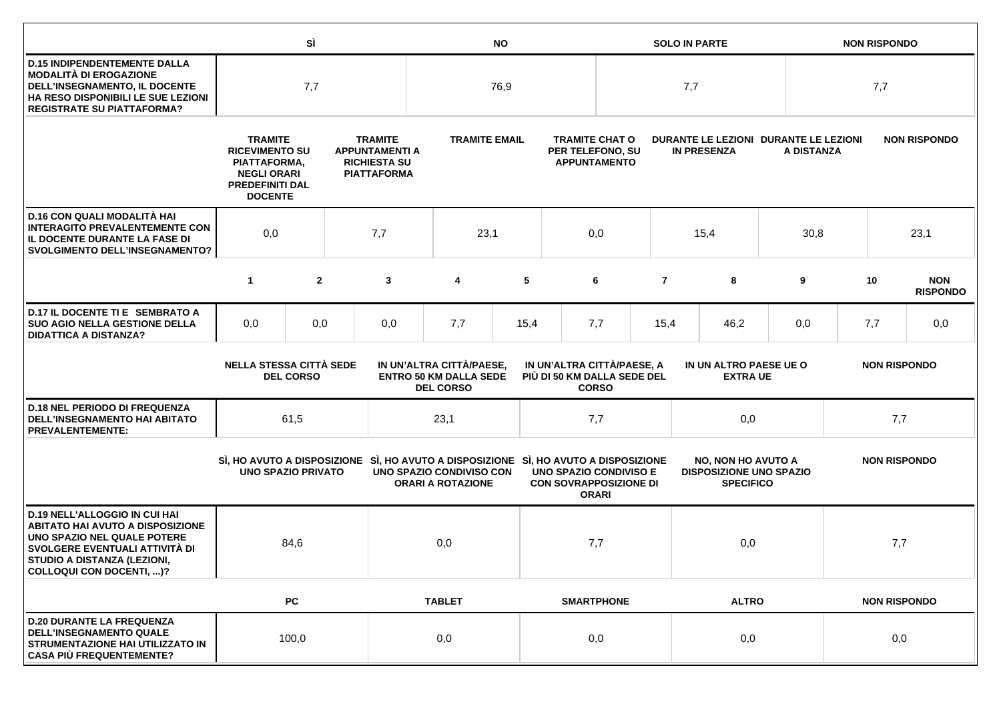|                                                                                                                                                                                                             |                                                                                                                           | SÌ                                                                                   |     | <b>NO</b>                                                                           |                                                                                                                                            |      |                                                                  |              | <b>SOLO IN PARTE</b>                      |                                                                                 |  |                     | <b>NON RISPONDO</b> |                               |  |
|-------------------------------------------------------------------------------------------------------------------------------------------------------------------------------------------------------------|---------------------------------------------------------------------------------------------------------------------------|--------------------------------------------------------------------------------------|-----|-------------------------------------------------------------------------------------|--------------------------------------------------------------------------------------------------------------------------------------------|------|------------------------------------------------------------------|--------------|-------------------------------------------|---------------------------------------------------------------------------------|--|---------------------|---------------------|-------------------------------|--|
| <b>D.15 INDIPENDENTEMENTE DALLA</b><br><b>MODALITÀ DI EROGAZIONE</b><br>DELL'INSEGNAMENTO, IL DOCENTE<br>HA RESO DISPONIBILI LE SUE LEZIONI<br><b>REGISTRATE SU PIATTAFORMA?</b>                            | 7,7                                                                                                                       |                                                                                      |     | 76,9                                                                                |                                                                                                                                            |      |                                                                  | 7,7          |                                           |                                                                                 |  | 7,7                 |                     |                               |  |
|                                                                                                                                                                                                             | <b>TRAMITE</b><br><b>RICEVIMENTO SU</b><br>PIATTAFORMA,<br><b>NEGLI ORARI</b><br><b>PREDEFINITI DAL</b><br><b>DOCENTE</b> | <b>TRAMITE</b><br><b>APPUNTAMENTI A</b><br><b>RICHIESTA SU</b><br><b>PIATTAFORMA</b> |     |                                                                                     | <b>TRAMITE EMAIL</b>                                                                                                                       |      | <b>TRAMITE CHAT O</b><br>PER TELEFONO, SU<br><b>APPUNTAMENTO</b> |              |                                           | DURANTE LE LEZIONI DURANTE LE LEZIONI<br><b>IN PRESENZA</b>                     |  | A DISTANZA          |                     | <b>NON RISPONDO</b>           |  |
| D.16 CON QUALI MODALITÀ HAI<br><b>INTERAGITO PREVALENTEMENTE CON</b><br>IL DOCENTE DURANTE LA FASE DI<br><b>SVOLGIMENTO DELL'INSEGNAMENTO?</b>                                                              | 0,0                                                                                                                       | 7,7                                                                                  |     |                                                                                     | 23,1                                                                                                                                       |      | 0,0                                                              |              |                                           | 15,4                                                                            |  | 30,8                | 23,1                |                               |  |
|                                                                                                                                                                                                             | $\mathbf{1}$                                                                                                              | $\overline{2}$                                                                       |     | 3                                                                                   | 4                                                                                                                                          | 5    |                                                                  | 6            | $\overline{7}$                            | 8                                                                               |  | 9                   | 10                  | <b>NON</b><br><b>RISPONDO</b> |  |
| D.17 IL DOCENTE TI E SEMBRATO A<br><b>SUO AGIO NELLA GESTIONE DELLA</b><br><b>DIDATTICA A DISTANZA?</b>                                                                                                     | 0,0                                                                                                                       | 0,0                                                                                  |     | 0,0                                                                                 | 7,7                                                                                                                                        | 15,4 |                                                                  | 7,7          | 15,4                                      | 46,2                                                                            |  | 0,0                 | 7,7                 | 0,0                           |  |
|                                                                                                                                                                                                             | <b>NELLA STESSA CITTÀ SEDE</b><br><b>DEL CORSO</b>                                                                        |                                                                                      |     |                                                                                     | IN UN'ALTRA CITTÀ/PAESE,<br>IN UN'ALTRA CITTÀ/PAESE, A<br><b>ENTRO 50 KM DALLA SEDE</b><br>PIÙ DI 50 KM DALLA SEDE DEL<br><b>DEL CORSO</b> |      |                                                                  | <b>CORSO</b> | IN UN ALTRO PAESE UE O<br><b>EXTRA UE</b> |                                                                                 |  |                     | <b>NON RISPONDO</b> |                               |  |
| <b>D.18 NEL PERIODO DI FREQUENZA</b><br><b>DELL'INSEGNAMENTO HAI ABITATO</b><br><b>PREVALENTEMENTE:</b>                                                                                                     |                                                                                                                           | 61,5                                                                                 |     |                                                                                     | 23,1                                                                                                                                       |      |                                                                  | 7,7          |                                           | 0,0                                                                             |  |                     |                     | 7,7                           |  |
|                                                                                                                                                                                                             | <b>UNO SPAZIO PRIVATO</b>                                                                                                 |                                                                                      |     | SI, HO AVUTO A DISPOSIZIONE SI, HO AVUTO A DISPOSIZIONE SI, HO AVUTO A DISPOSIZIONE | UNO SPAZIO CONDIVISO CON<br><b>ORARI A ROTAZIONE</b>                                                                                       |      | <b>UNO SPAZIO CONDIVISO E</b><br><b>CON SOVRAPPOSIZIONE DI</b>   | <b>ORARI</b> |                                           | <b>NO, NON HO AVUTO A</b><br><b>DISPOSIZIONE UNO SPAZIO</b><br><b>SPECIFICO</b> |  | <b>NON RISPONDO</b> |                     |                               |  |
| <b>D.19 NELL'ALLOGGIO IN CUI HAI</b><br><b>ABITATO HAI AVUTO A DISPOSIZIONE</b><br>UNO SPAZIO NEL QUALE POTERE<br>SVOLGERE EVENTUALI ATTIVITÀ DI<br>STUDIO A DISTANZA (LEZIONI,<br>COLLOQUI CON DOCENTI, )? | 84,6                                                                                                                      |                                                                                      | 0,0 |                                                                                     |                                                                                                                                            | 7,7  |                                                                  |              | 0,0                                       |                                                                                 |  | 7,7                 |                     |                               |  |
|                                                                                                                                                                                                             |                                                                                                                           | <b>PC</b>                                                                            |     |                                                                                     | <b>TABLET</b>                                                                                                                              |      | <b>SMARTPHONE</b>                                                |              |                                           | <b>ALTRO</b>                                                                    |  | <b>NON RISPONDO</b> |                     |                               |  |
| <b>D.20 DURANTE LA FREQUENZA</b><br><b>DELL'INSEGNAMENTO QUALE</b><br>STRUMENTAZIONE HAI UTILIZZATO IN<br><b>CASA PIÙ FREQUENTEMENTE?</b>                                                                   | 100,0                                                                                                                     |                                                                                      | 0,0 |                                                                                     |                                                                                                                                            | 0,0  |                                                                  |              | 0,0                                       |                                                                                 |  | 0,0                 |                     |                               |  |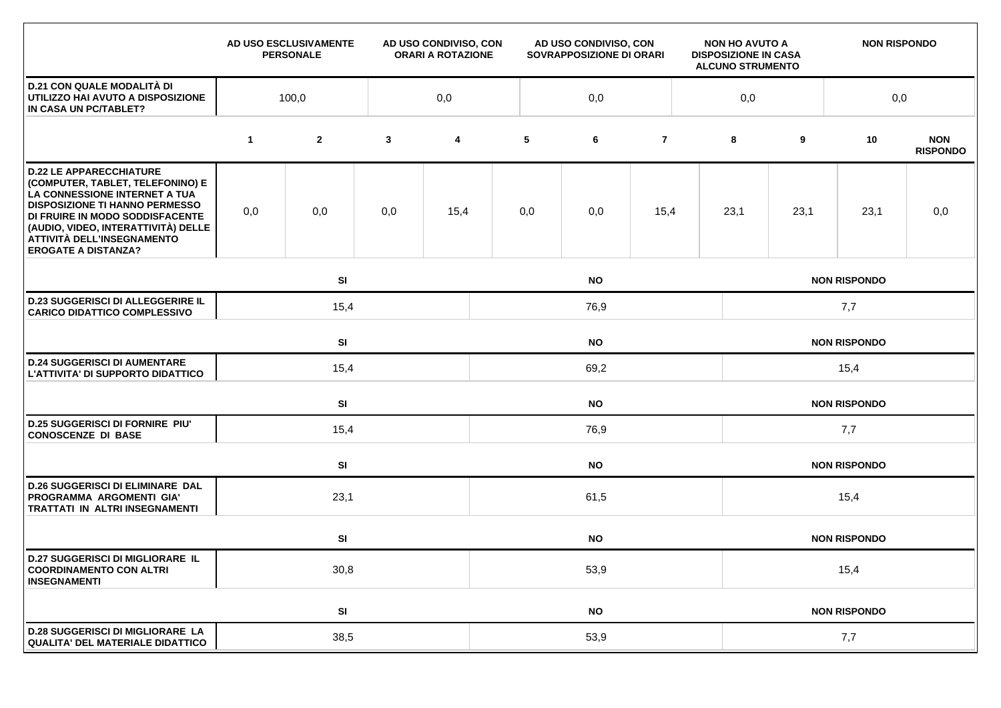|                                                                                                                                                                                                                                                                                    |             | AD USO ESCLUSIVAMENTE<br><b>PERSONALE</b> |              | AD USO CONDIVISO, CON<br><b>ORARI A ROTAZIONE</b> | AD USO CONDIVISO, CON<br>SOVRAPPOSIZIONE DI ORARI |           |                |  | <b>NON HO AVUTO A</b><br><b>DISPOSIZIONE IN CASA</b><br><b>ALCUNO STRUMENTO</b> |                     | <b>NON RISPONDO</b> |                               |  |
|------------------------------------------------------------------------------------------------------------------------------------------------------------------------------------------------------------------------------------------------------------------------------------|-------------|-------------------------------------------|--------------|---------------------------------------------------|---------------------------------------------------|-----------|----------------|--|---------------------------------------------------------------------------------|---------------------|---------------------|-------------------------------|--|
| <b>D.21 CON QUALE MODALITÀ DI</b><br>UTILIZZO HAI AVUTO A DISPOSIZIONE<br>IN CASA UN PC/TABLET?                                                                                                                                                                                    | 100,0       |                                           |              | 0,0                                               |                                                   | 0,0       |                |  |                                                                                 | 0,0                 |                     | 0,0                           |  |
|                                                                                                                                                                                                                                                                                    | $\mathbf 1$ | $\mathbf{2}$                              | $\mathbf{3}$ | 4                                                 | 5                                                 | 6         | $\overline{7}$ |  | 8                                                                               | 9                   | 10                  | <b>NON</b><br><b>RISPONDO</b> |  |
| <b>D.22 LE APPARECCHIATURE</b><br>(COMPUTER, TABLET, TELEFONINO) E<br>LA CONNESSIONE INTERNET A TUA<br><b>DISPOSIZIONE TI HANNO PERMESSO</b><br>DI FRUIRE IN MODO SODDISFACENTE<br>(AUDIO, VIDEO, INTERATTIVITÀ) DELLE<br>ATTIVITÀ DELL'INSEGNAMENTO<br><b>EROGATE A DISTANZA?</b> | 0,0         | 0,0                                       | 0,0          | 15,4                                              | 0,0                                               | 0,0       | 15,4           |  | 23,1                                                                            | 23,1                | 23,1                | 0,0                           |  |
|                                                                                                                                                                                                                                                                                    |             | SI                                        |              |                                                   |                                                   | <b>NO</b> |                |  | <b>NON RISPONDO</b>                                                             |                     |                     |                               |  |
| <b>D.23 SUGGERISCI DI ALLEGGERIRE IL</b><br><b>CARICO DIDATTICO COMPLESSIVO</b>                                                                                                                                                                                                    |             | 15,4                                      |              |                                                   | 76,9                                              |           |                |  |                                                                                 | 7,7                 |                     |                               |  |
|                                                                                                                                                                                                                                                                                    |             | SI<br><b>NO</b>                           |              |                                                   |                                                   |           |                |  |                                                                                 |                     | <b>NON RISPONDO</b> |                               |  |
| <b>D.24 SUGGERISCI DI AUMENTARE</b><br>L'ATTIVITA' DI SUPPORTO DIDATTICO                                                                                                                                                                                                           |             | 15,4                                      |              |                                                   | 69,2                                              |           |                |  |                                                                                 | 15,4                |                     |                               |  |
|                                                                                                                                                                                                                                                                                    |             | <b>SI</b><br><b>NO</b>                    |              |                                                   |                                                   |           |                |  |                                                                                 |                     | <b>NON RISPONDO</b> |                               |  |
| <b>D.25 SUGGERISCI DI FORNIRE PIU'</b><br><b>CONOSCENZE DI BASE</b>                                                                                                                                                                                                                | 15,4        |                                           |              |                                                   | 76,9                                              |           |                |  |                                                                                 | 7,7                 |                     |                               |  |
|                                                                                                                                                                                                                                                                                    |             | SI                                        |              |                                                   | <b>NO</b>                                         |           |                |  |                                                                                 | <b>NON RISPONDO</b> |                     |                               |  |
| <b>D.26 SUGGERISCI DI ELIMINARE DAL</b><br>PROGRAMMA ARGOMENTI GIA'<br>TRATTATI IN ALTRI INSEGNAMENTI                                                                                                                                                                              |             | 23,1                                      |              |                                                   | 61,5                                              |           |                |  |                                                                                 | 15,4                |                     |                               |  |
|                                                                                                                                                                                                                                                                                    |             | SI                                        |              |                                                   |                                                   | <b>NO</b> |                |  |                                                                                 |                     | <b>NON RISPONDO</b> |                               |  |
| <b>D.27 SUGGERISCI DI MIGLIORARE IL</b><br><b>COORDINAMENTO CON ALTRI</b><br><b>INSEGNAMENTI</b>                                                                                                                                                                                   | 30,8        |                                           |              |                                                   | 53,9                                              |           |                |  |                                                                                 | 15,4                |                     |                               |  |
|                                                                                                                                                                                                                                                                                    |             | SI                                        |              |                                                   | <b>NO</b>                                         |           |                |  |                                                                                 | <b>NON RISPONDO</b> |                     |                               |  |
| <b>D.28 SUGGERISCI DI MIGLIORARE LA</b><br><b>QUALITA' DEL MATERIALE DIDATTICO</b>                                                                                                                                                                                                 | 38,5        |                                           |              |                                                   | 53,9                                              |           |                |  |                                                                                 | 7,7                 |                     |                               |  |